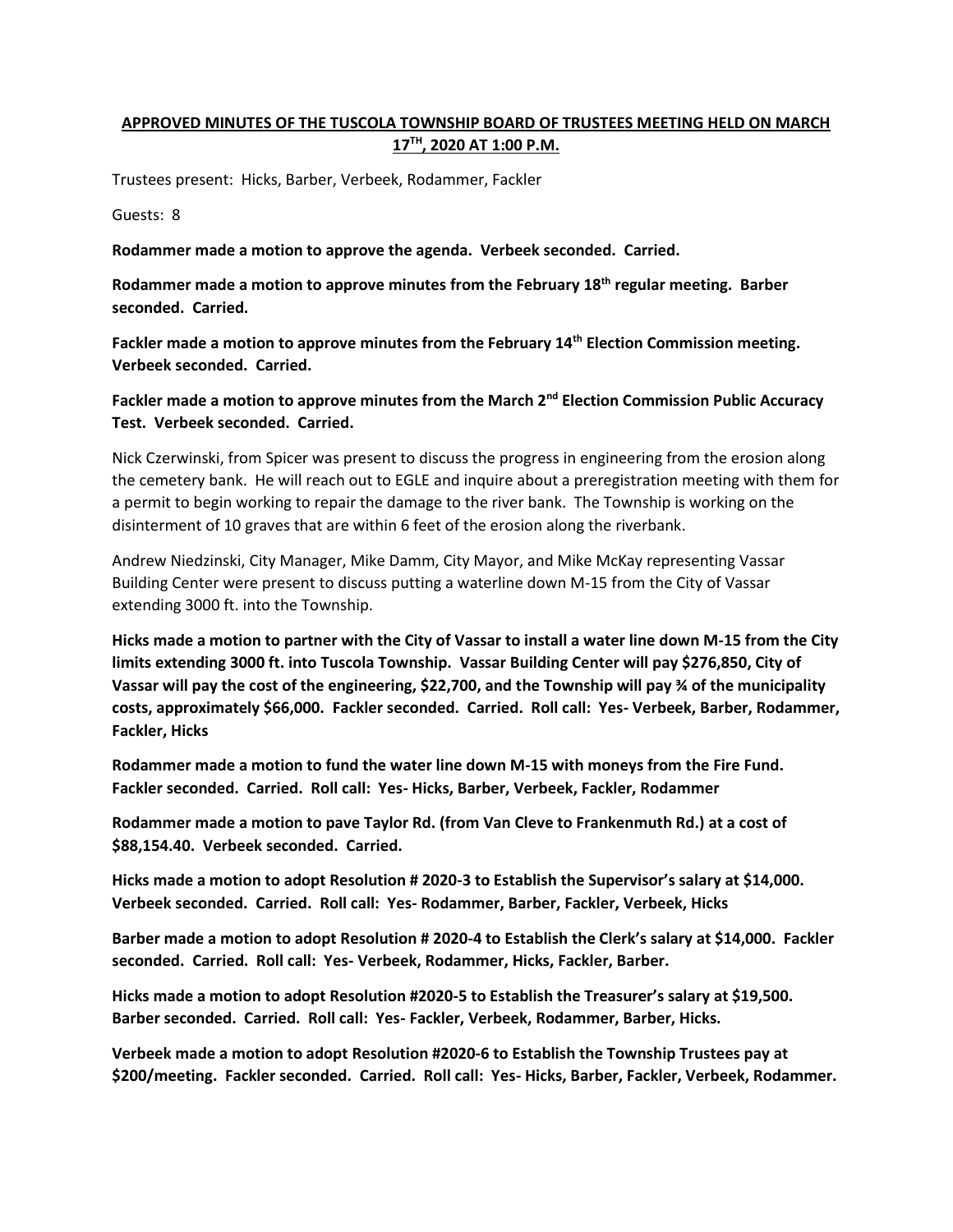## **APPROVED MINUTES OF THE TUSCOLA TOWNSHIP BOARD OF TRUSTEES MEETING HELD ON MARCH 17TH, 2020 AT 1:00 P.M.**

Trustees present: Hicks, Barber, Verbeek, Rodammer, Fackler

Guests: 8

**Rodammer made a motion to approve the agenda. Verbeek seconded. Carried.**

**Rodammer made a motion to approve minutes from the February 18th regular meeting. Barber seconded. Carried.**

**Fackler made a motion to approve minutes from the February 14th Election Commission meeting. Verbeek seconded. Carried.**

**Fackler made a motion to approve minutes from the March 2nd Election Commission Public Accuracy Test. Verbeek seconded. Carried.**

Nick Czerwinski, from Spicer was present to discuss the progress in engineering from the erosion along the cemetery bank. He will reach out to EGLE and inquire about a preregistration meeting with them for a permit to begin working to repair the damage to the river bank. The Township is working on the disinterment of 10 graves that are within 6 feet of the erosion along the riverbank.

Andrew Niedzinski, City Manager, Mike Damm, City Mayor, and Mike McKay representing Vassar Building Center were present to discuss putting a waterline down M-15 from the City of Vassar extending 3000 ft. into the Township.

**Hicks made a motion to partner with the City of Vassar to install a water line down M-15 from the City limits extending 3000 ft. into Tuscola Township. Vassar Building Center will pay \$276,850, City of Vassar will pay the cost of the engineering, \$22,700, and the Township will pay ¾ of the municipality costs, approximately \$66,000. Fackler seconded. Carried. Roll call: Yes- Verbeek, Barber, Rodammer, Fackler, Hicks**

**Rodammer made a motion to fund the water line down M-15 with moneys from the Fire Fund. Fackler seconded. Carried. Roll call: Yes- Hicks, Barber, Verbeek, Fackler, Rodammer**

**Rodammer made a motion to pave Taylor Rd. (from Van Cleve to Frankenmuth Rd.) at a cost of \$88,154.40. Verbeek seconded. Carried.**

**Hicks made a motion to adopt Resolution # 2020-3 to Establish the Supervisor's salary at \$14,000. Verbeek seconded. Carried. Roll call: Yes- Rodammer, Barber, Fackler, Verbeek, Hicks**

**Barber made a motion to adopt Resolution # 2020-4 to Establish the Clerk's salary at \$14,000. Fackler seconded. Carried. Roll call: Yes- Verbeek, Rodammer, Hicks, Fackler, Barber.**

**Hicks made a motion to adopt Resolution #2020-5 to Establish the Treasurer's salary at \$19,500. Barber seconded. Carried. Roll call: Yes- Fackler, Verbeek, Rodammer, Barber, Hicks.**

**Verbeek made a motion to adopt Resolution #2020-6 to Establish the Township Trustees pay at \$200/meeting. Fackler seconded. Carried. Roll call: Yes- Hicks, Barber, Fackler, Verbeek, Rodammer.**